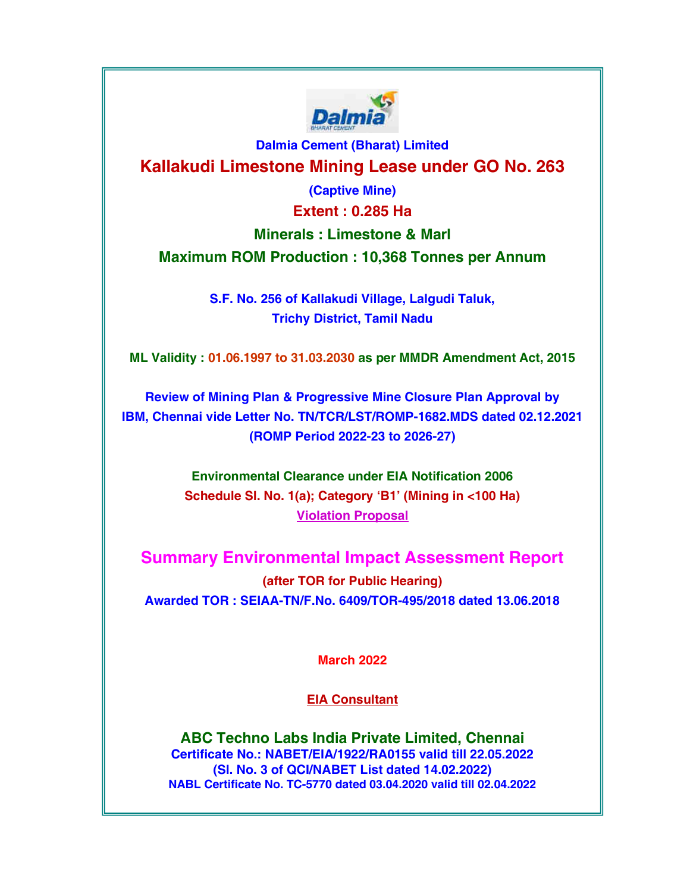

Dalmia Cement (Bharat) Limited Kallakudi Limestone Mining Lease under GO No. 263

(Captive Mine)

Extent : 0.285 Ha

Minerals : Limestone & Marl

Maximum ROM Production : 10,368 Tonnes per Annum

S.F. No. 256 of Kallakudi Village, Lalgudi Taluk, Trichy District, Tamil Nadu

ML Validity : 01.06.1997 to 31.03.2030 as per MMDR Amendment Act, 2015

Review of Mining Plan & Progressive Mine Closure Plan Approval by IBM, Chennai vide Letter No. TN/TCR/LST/ROMP-1682.MDS dated 02.12.2021 (ROMP Period 2022-23 to 2026-27)

> Environmental Clearance under EIA Notification 2006 Schedule Sl. No. 1(a); Category 'B1' (Mining in <100 Ha) Violation Proposal

Summary Environmental Impact Assessment Report (after TOR for Public Hearing) Awarded TOR : SEIAA-TN/F.No. 6409/TOR-495/2018 dated 13.06.2018

March 2022

EIA Consultant

ABC Techno Labs India Private Limited, Chennai Certificate No.: NABET/EIA/1922/RA0155 valid till 22.05.2022 (Sl. No. 3 of QCI/NABET List dated 14.02.2022) NABL Certificate No. TC-5770 dated 03.04.2020 valid till 02.04.2022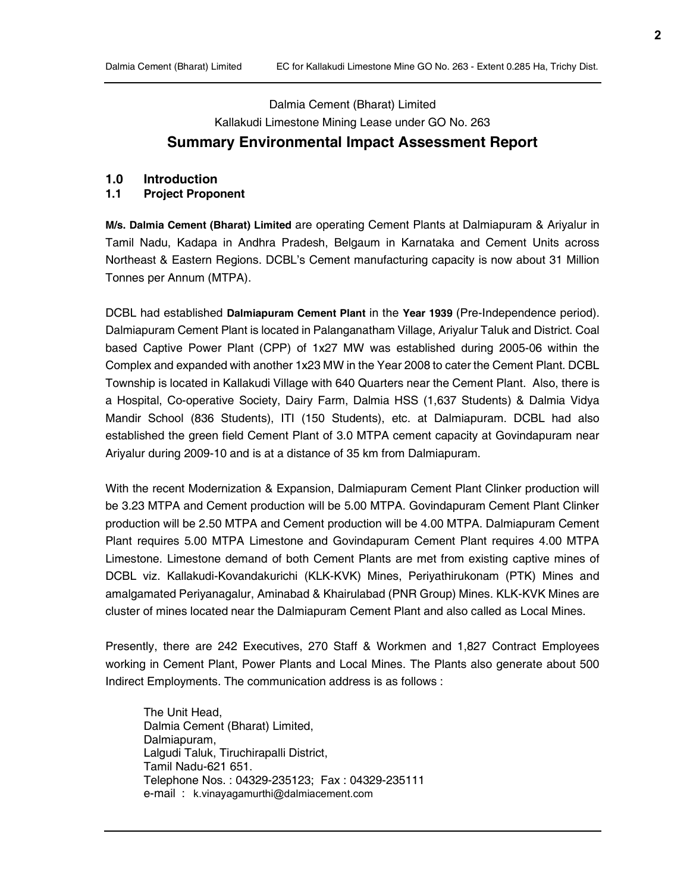# Dalmia Cement (Bharat) Limited Kallakudi Limestone Mining Lease under GO No. 263 Summary Environmental Impact Assessment Report

#### 1.0 Introduction

#### 1.1 Project Proponent

M/s. Dalmia Cement (Bharat) Limited are operating Cement Plants at Dalmiapuram & Ariyalur in Tamil Nadu, Kadapa in Andhra Pradesh, Belgaum in Karnataka and Cement Units across Northeast & Eastern Regions. DCBL's Cement manufacturing capacity is now about 31 Million Tonnes per Annum (MTPA).

DCBL had established Dalmiapuram Cement Plant in the Year 1939 (Pre-Independence period). Dalmiapuram Cement Plant is located in Palanganatham Village, Ariyalur Taluk and District. Coal based Captive Power Plant (CPP) of 1x27 MW was established during 2005-06 within the Complex and expanded with another 1x23 MW in the Year 2008 to cater the Cement Plant. DCBL Township is located in Kallakudi Village with 640 Quarters near the Cement Plant. Also, there is a Hospital, Co-operative Society, Dairy Farm, Dalmia HSS (1,637 Students) & Dalmia Vidya Mandir School (836 Students), ITI (150 Students), etc. at Dalmiapuram. DCBL had also established the green field Cement Plant of 3.0 MTPA cement capacity at Govindapuram near Ariyalur during 2009-10 and is at a distance of 35 km from Dalmiapuram.

With the recent Modernization & Expansion, Dalmiapuram Cement Plant Clinker production will be 3.23 MTPA and Cement production will be 5.00 MTPA. Govindapuram Cement Plant Clinker production will be 2.50 MTPA and Cement production will be 4.00 MTPA. Dalmiapuram Cement Plant requires 5.00 MTPA Limestone and Govindapuram Cement Plant requires 4.00 MTPA Limestone. Limestone demand of both Cement Plants are met from existing captive mines of DCBL viz. Kallakudi-Kovandakurichi (KLK-KVK) Mines, Periyathirukonam (PTK) Mines and amalgamated Periyanagalur, Aminabad & Khairulabad (PNR Group) Mines. KLK-KVK Mines are cluster of mines located near the Dalmiapuram Cement Plant and also called as Local Mines.

Presently, there are 242 Executives, 270 Staff & Workmen and 1,827 Contract Employees working in Cement Plant, Power Plants and Local Mines. The Plants also generate about 500 Indirect Employments. The communication address is as follows :

The Unit Head, Dalmia Cement (Bharat) Limited, Dalmiapuram, Lalgudi Taluk, Tiruchirapalli District, Tamil Nadu-621 651. Telephone Nos. : 04329-235123; Fax : 04329-235111 e-mail : k.vinayagamurthi@dalmiacement.com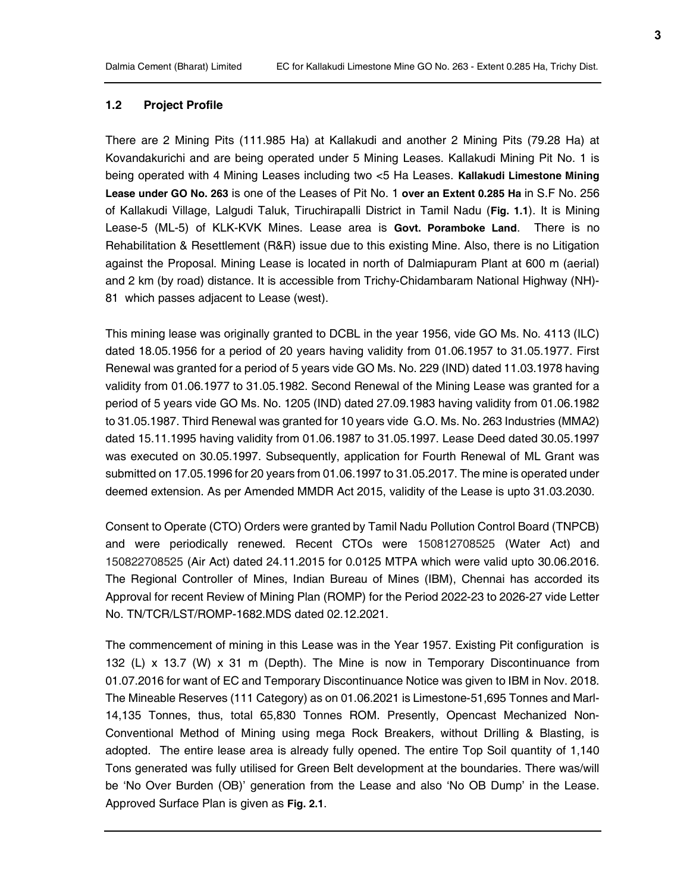### 1.2 Project Profile

There are 2 Mining Pits (111.985 Ha) at Kallakudi and another 2 Mining Pits (79.28 Ha) at Kovandakurichi and are being operated under 5 Mining Leases. Kallakudi Mining Pit No. 1 is being operated with 4 Mining Leases including two <5 Ha Leases. Kallakudi Limestone Mining Lease under GO No. 263 is one of the Leases of Pit No. 1 over an Extent 0.285 Ha in S.F No. 256 of Kallakudi Village, Lalgudi Taluk, Tiruchirapalli District in Tamil Nadu (Fig. 1.1). It is Mining Lease-5 (ML-5) of KLK-KVK Mines. Lease area is Govt. Poramboke Land. There is no Rehabilitation & Resettlement (R&R) issue due to this existing Mine. Also, there is no Litigation against the Proposal. Mining Lease is located in north of Dalmiapuram Plant at 600 m (aerial) and 2 km (by road) distance. It is accessible from Trichy-Chidambaram National Highway (NH)- 81 which passes adjacent to Lease (west).

This mining lease was originally granted to DCBL in the year 1956, vide GO Ms. No. 4113 (ILC) dated 18.05.1956 for a period of 20 years having validity from 01.06.1957 to 31.05.1977. First Renewal was granted for a period of 5 years vide GO Ms. No. 229 (IND) dated 11.03.1978 having validity from 01.06.1977 to 31.05.1982. Second Renewal of the Mining Lease was granted for a period of 5 years vide GO Ms. No. 1205 (IND) dated 27.09.1983 having validity from 01.06.1982 to 31.05.1987. Third Renewal was granted for 10 years vide G.O. Ms. No. 263 Industries (MMA2) dated 15.11.1995 having validity from 01.06.1987 to 31.05.1997. Lease Deed dated 30.05.1997 was executed on 30.05.1997. Subsequently, application for Fourth Renewal of ML Grant was submitted on 17.05.1996 for 20 years from 01.06.1997 to 31.05.2017. The mine is operated under deemed extension. As per Amended MMDR Act 2015, validity of the Lease is upto 31.03.2030.

Consent to Operate (CTO) Orders were granted by Tamil Nadu Pollution Control Board (TNPCB) and were periodically renewed. Recent CTOs were 150812708525 (Water Act) and 150822708525 (Air Act) dated 24.11.2015 for 0.0125 MTPA which were valid upto 30.06.2016. The Regional Controller of Mines, Indian Bureau of Mines (IBM), Chennai has accorded its Approval for recent Review of Mining Plan (ROMP) for the Period 2022-23 to 2026-27 vide Letter No. TN/TCR/LST/ROMP-1682.MDS dated 02.12.2021.

The commencement of mining in this Lease was in the Year 1957. Existing Pit configuration is 132 (L) x 13.7 (W) x 31 m (Depth). The Mine is now in Temporary Discontinuance from 01.07.2016 for want of EC and Temporary Discontinuance Notice was given to IBM in Nov. 2018. The Mineable Reserves (111 Category) as on 01.06.2021 is Limestone-51,695 Tonnes and Marl-14,135 Tonnes, thus, total 65,830 Tonnes ROM. Presently, Opencast Mechanized Non-Conventional Method of Mining using mega Rock Breakers, without Drilling & Blasting, is adopted. The entire lease area is already fully opened. The entire Top Soil quantity of 1,140 Tons generated was fully utilised for Green Belt development at the boundaries. There was/will be 'No Over Burden (OB)' generation from the Lease and also 'No OB Dump' in the Lease. Approved Surface Plan is given as Fig. 2.1.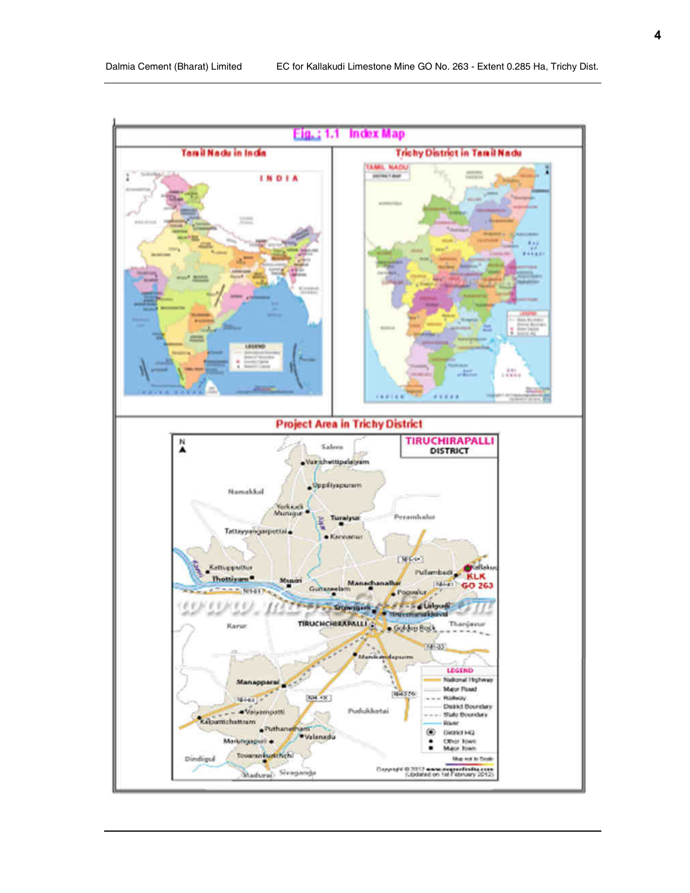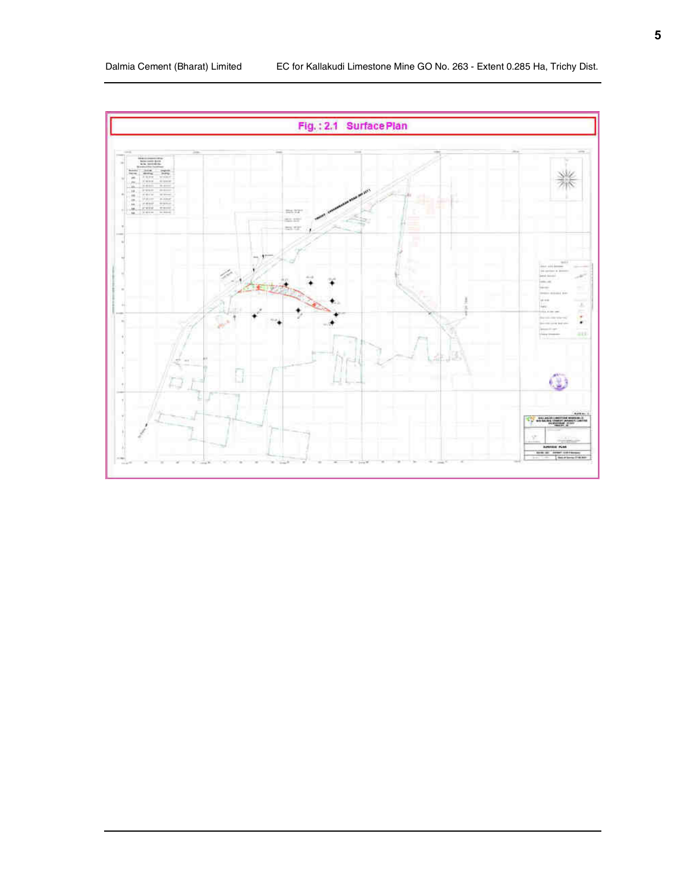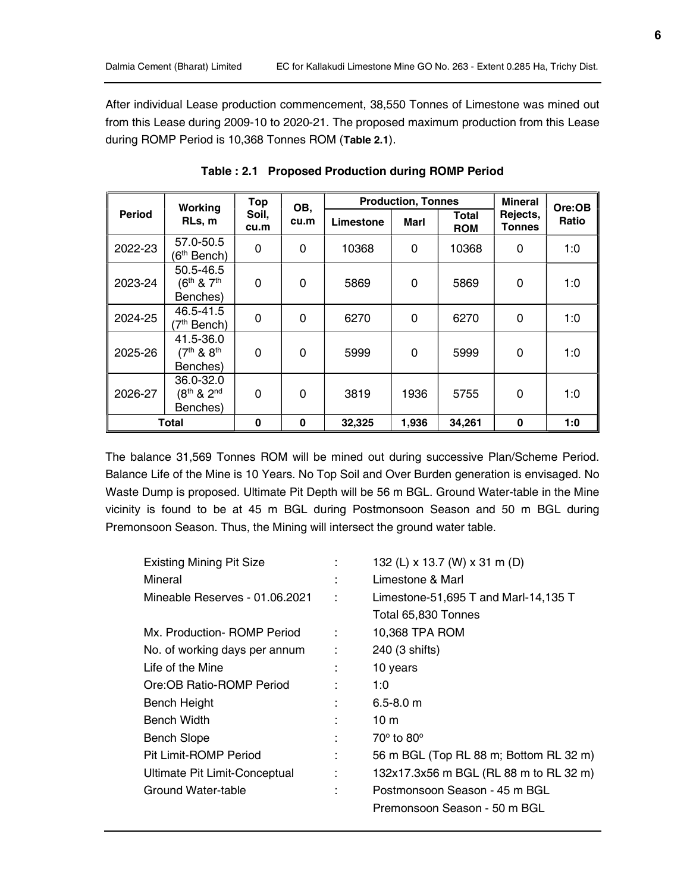After individual Lease production commencement, 38,550 Tonnes of Limestone was mined out from this Lease during 2009-10 to 2020-21. The proposed maximum production from this Lease during ROMP Period is 10,368 Tonnes ROM (Table 2.1).

|               | Working                                       | Top           | <b>Production, Tonnes</b><br>OB, |           |          | <b>Mineral</b>      | Ore:OB                    |       |
|---------------|-----------------------------------------------|---------------|----------------------------------|-----------|----------|---------------------|---------------------------|-------|
| <b>Period</b> | RLs, m                                        | Soil,<br>cu.m | cu.m                             | Limestone | Marl     | Total<br><b>ROM</b> | Rejects,<br><b>Tonnes</b> | Ratio |
| 2022-23       | 57.0-50.5<br>$(6th$ Bench)                    | 0             | 0                                | 10368     | 0        | 10368               | 0                         | 1:0   |
| 2023-24       | 50.5-46.5<br>$(6^{th}$ & $7^{th}$<br>Benches) | $\Omega$      | $\Omega$                         | 5869      | $\Omega$ | 5869                | $\Omega$                  | 1:0   |
| 2024-25       | 46.5-41.5<br>(7 <sup>th</sup> Bench)          | 0             | 0                                | 6270      | $\Omega$ | 6270                | 0                         | 1:0   |
| 2025-26       | 41.5-36.0<br>$(7th 81 8th)$<br>Benches)       | $\Omega$      | $\Omega$                         | 5999      | $\Omega$ | 5999                | $\Omega$                  | 1:0   |
| 2026-27       | 36.0-32.0<br>(8th & 2nd<br>Benches)           | $\Omega$      | $\Omega$                         | 3819      | 1936     | 5755                | $\Omega$                  | 1:0   |
| Total         |                                               | $\bf{0}$      | $\bf{0}$                         | 32,325    | 1,936    | 34,261              | $\bf{0}$                  | 1:0   |

Table : 2.1 Proposed Production during ROMP Period

The balance 31,569 Tonnes ROM will be mined out during successive Plan/Scheme Period. Balance Life of the Mine is 10 Years. No Top Soil and Over Burden generation is envisaged. No Waste Dump is proposed. Ultimate Pit Depth will be 56 m BGL. Ground Water-table in the Mine vicinity is found to be at 45 m BGL during Postmonsoon Season and 50 m BGL during Premonsoon Season. Thus, the Mining will intersect the ground water table.

| <b>Existing Mining Pit Size</b> |   | 132 (L) x 13.7 (W) x 31 m (D)          |
|---------------------------------|---|----------------------------------------|
| Mineral                         |   | Limestone & Marl                       |
| Mineable Reserves - 01.06.2021  | ÷ | Limestone-51,695 T and Marl-14,135 T   |
|                                 |   | Total 65,830 Tonnes                    |
| Mx. Production- ROMP Period     | ÷ | 10,368 TPA ROM                         |
| No. of working days per annum   | ÷ | 240 (3 shifts)                         |
| Life of the Mine                |   | 10 years                               |
| Ore:OB Ratio-ROMP Period        |   | 1:0                                    |
| <b>Bench Height</b>             | ٠ | $6.5 - 8.0$ m                          |
| Bench Width                     |   | 10 <sub>m</sub>                        |
| Bench Slope                     |   | $70^{\circ}$ to $80^{\circ}$           |
| Pit Limit-ROMP Period           |   | 56 m BGL (Top RL 88 m; Bottom RL 32 m) |
| Ultimate Pit Limit-Conceptual   |   | 132x17.3x56 m BGL (RL 88 m to RL 32 m) |
| Ground Water-table              |   | Postmonsoon Season - 45 m BGL          |
|                                 |   | Premonsoon Season - 50 m BGL           |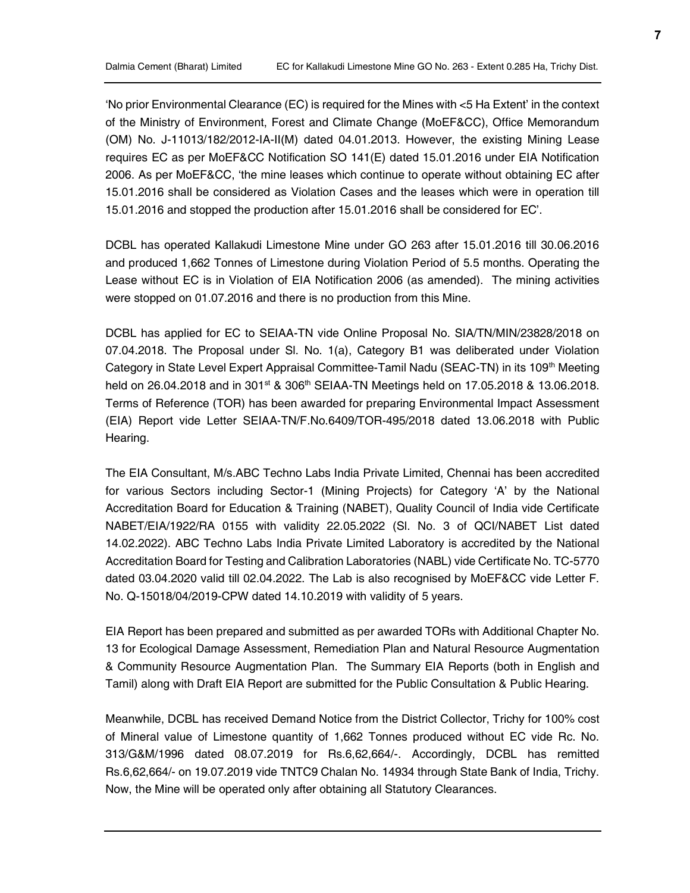'No prior Environmental Clearance (EC) is required for the Mines with <5 Ha Extent' in the context of the Ministry of Environment, Forest and Climate Change (MoEF&CC), Office Memorandum (OM) No. J-11013/182/2012-IA-II(M) dated 04.01.2013. However, the existing Mining Lease requires EC as per MoEF&CC Notification SO 141(E) dated 15.01.2016 under EIA Notification 2006. As per MoEF&CC, 'the mine leases which continue to operate without obtaining EC after 15.01.2016 shall be considered as Violation Cases and the leases which were in operation till 15.01.2016 and stopped the production after 15.01.2016 shall be considered for EC'.

DCBL has operated Kallakudi Limestone Mine under GO 263 after 15.01.2016 till 30.06.2016 and produced 1,662 Tonnes of Limestone during Violation Period of 5.5 months. Operating the Lease without EC is in Violation of EIA Notification 2006 (as amended). The mining activities were stopped on 01.07.2016 and there is no production from this Mine.

DCBL has applied for EC to SEIAA-TN vide Online Proposal No. SIA/TN/MIN/23828/2018 on 07.04.2018. The Proposal under Sl. No. 1(a), Category B1 was deliberated under Violation Category in State Level Expert Appraisal Committee-Tamil Nadu (SEAC-TN) in its 109<sup>th</sup> Meeting held on 26.04.2018 and in 301<sup>st</sup> & 306<sup>th</sup> SEIAA-TN Meetings held on 17.05.2018 & 13.06.2018. Terms of Reference (TOR) has been awarded for preparing Environmental Impact Assessment (EIA) Report vide Letter SEIAA-TN/F.No.6409/TOR-495/2018 dated 13.06.2018 with Public Hearing.

The EIA Consultant, M/s.ABC Techno Labs India Private Limited, Chennai has been accredited for various Sectors including Sector-1 (Mining Projects) for Category 'A' by the National Accreditation Board for Education & Training (NABET), Quality Council of India vide Certificate NABET/EIA/1922/RA 0155 with validity 22.05.2022 (Sl. No. 3 of QCI/NABET List dated 14.02.2022). ABC Techno Labs India Private Limited Laboratory is accredited by the National Accreditation Board for Testing and Calibration Laboratories (NABL) vide Certificate No. TC-5770 dated 03.04.2020 valid till 02.04.2022. The Lab is also recognised by MoEF&CC vide Letter F. No. Q-15018/04/2019-CPW dated 14.10.2019 with validity of 5 years.

EIA Report has been prepared and submitted as per awarded TORs with Additional Chapter No. 13 for Ecological Damage Assessment, Remediation Plan and Natural Resource Augmentation & Community Resource Augmentation Plan. The Summary EIA Reports (both in English and Tamil) along with Draft EIA Report are submitted for the Public Consultation & Public Hearing.

Meanwhile, DCBL has received Demand Notice from the District Collector, Trichy for 100% cost of Mineral value of Limestone quantity of 1,662 Tonnes produced without EC vide Rc. No. 313/G&M/1996 dated 08.07.2019 for Rs.6,62,664/-. Accordingly, DCBL has remitted Rs.6,62,664/- on 19.07.2019 vide TNTC9 Chalan No. 14934 through State Bank of India, Trichy. Now, the Mine will be operated only after obtaining all Statutory Clearances.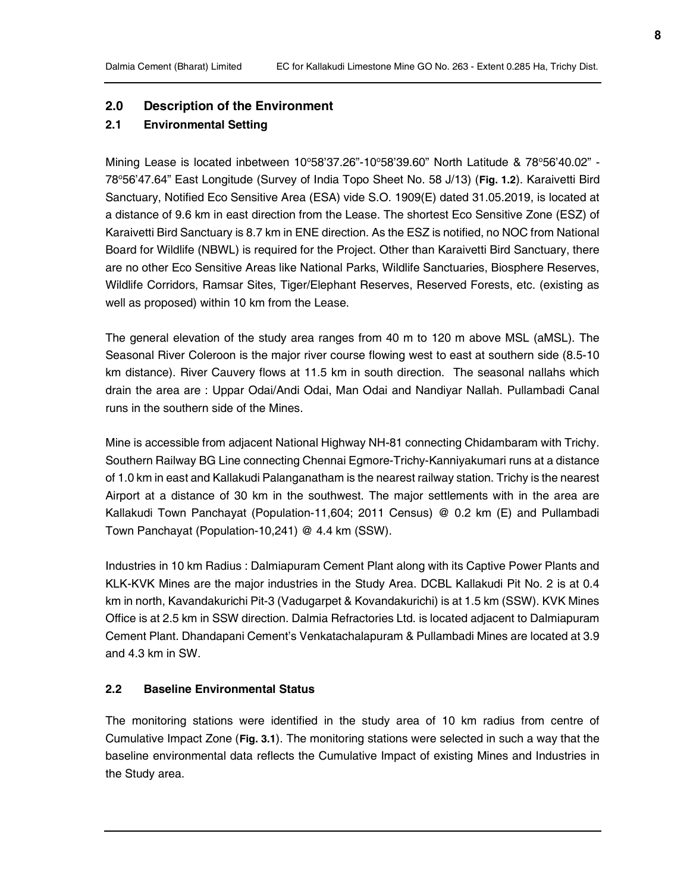### 2.0 Description of the Environment

## 2.1 Environmental Setting

Mining Lease is located inbetween  $10^{\circ}58'37.26" - 10^{\circ}58'39.60"$  North Latitude &  $78^{\circ}56'40.02"$  -78°56'47.64" East Longitude (Survey of India Topo Sheet No. 58 J/13) (Fig. 1.2). Karaivetti Bird Sanctuary, Notified Eco Sensitive Area (ESA) vide S.O. 1909(E) dated 31.05.2019, is located at a distance of 9.6 km in east direction from the Lease. The shortest Eco Sensitive Zone (ESZ) of Karaivetti Bird Sanctuary is 8.7 km in ENE direction. As the ESZ is notified, no NOC from National Board for Wildlife (NBWL) is required for the Project. Other than Karaivetti Bird Sanctuary, there are no other Eco Sensitive Areas like National Parks, Wildlife Sanctuaries, Biosphere Reserves, Wildlife Corridors, Ramsar Sites, Tiger/Elephant Reserves, Reserved Forests, etc. (existing as well as proposed) within 10 km from the Lease.

The general elevation of the study area ranges from 40 m to 120 m above MSL (aMSL). The Seasonal River Coleroon is the major river course flowing west to east at southern side (8.5-10 km distance). River Cauvery flows at 11.5 km in south direction. The seasonal nallahs which drain the area are : Uppar Odai/Andi Odai, Man Odai and Nandiyar Nallah. Pullambadi Canal runs in the southern side of the Mines.

Mine is accessible from adjacent National Highway NH-81 connecting Chidambaram with Trichy. Southern Railway BG Line connecting Chennai Egmore-Trichy-Kanniyakumari runs at a distance of 1.0 km in east and Kallakudi Palanganatham is the nearest railway station. Trichy is the nearest Airport at a distance of 30 km in the southwest. The major settlements with in the area are Kallakudi Town Panchayat (Population-11,604; 2011 Census) @ 0.2 km (E) and Pullambadi Town Panchayat (Population-10,241) @ 4.4 km (SSW).

Industries in 10 km Radius : Dalmiapuram Cement Plant along with its Captive Power Plants and KLK-KVK Mines are the major industries in the Study Area. DCBL Kallakudi Pit No. 2 is at 0.4 km in north, Kavandakurichi Pit-3 (Vadugarpet & Kovandakurichi) is at 1.5 km (SSW). KVK Mines Office is at 2.5 km in SSW direction. Dalmia Refractories Ltd. is located adjacent to Dalmiapuram Cement Plant. Dhandapani Cement's Venkatachalapuram & Pullambadi Mines are located at 3.9 and 4.3 km in SW.

#### 2.2 Baseline Environmental Status

The monitoring stations were identified in the study area of 10 km radius from centre of Cumulative Impact Zone (Fig. 3.1). The monitoring stations were selected in such a way that the baseline environmental data reflects the Cumulative Impact of existing Mines and Industries in the Study area.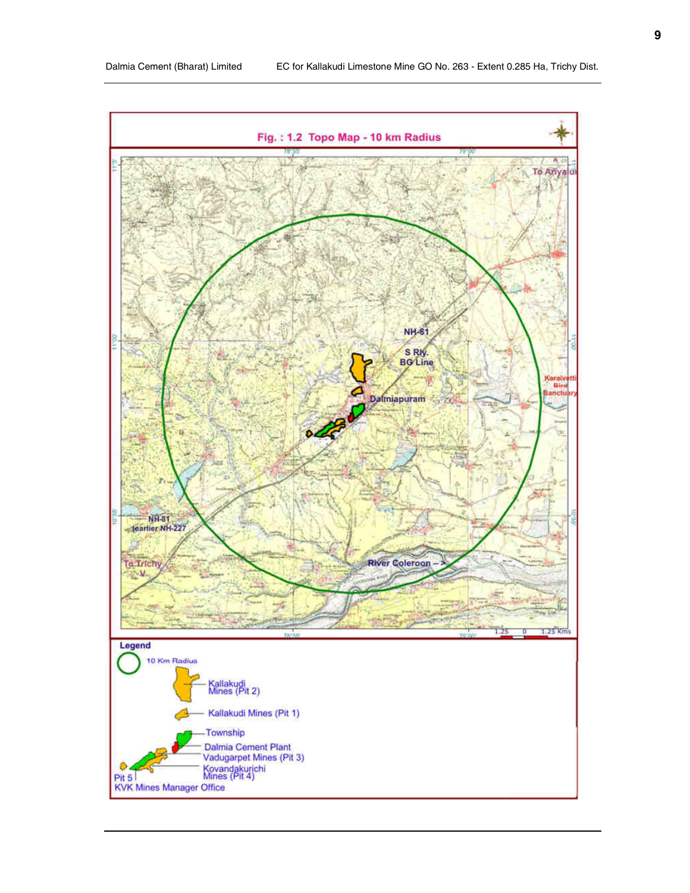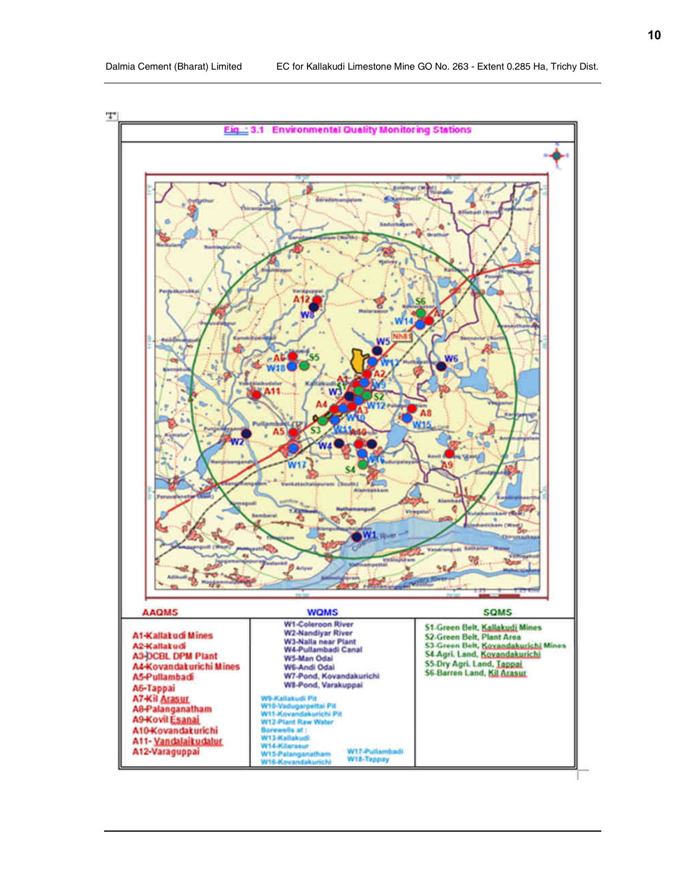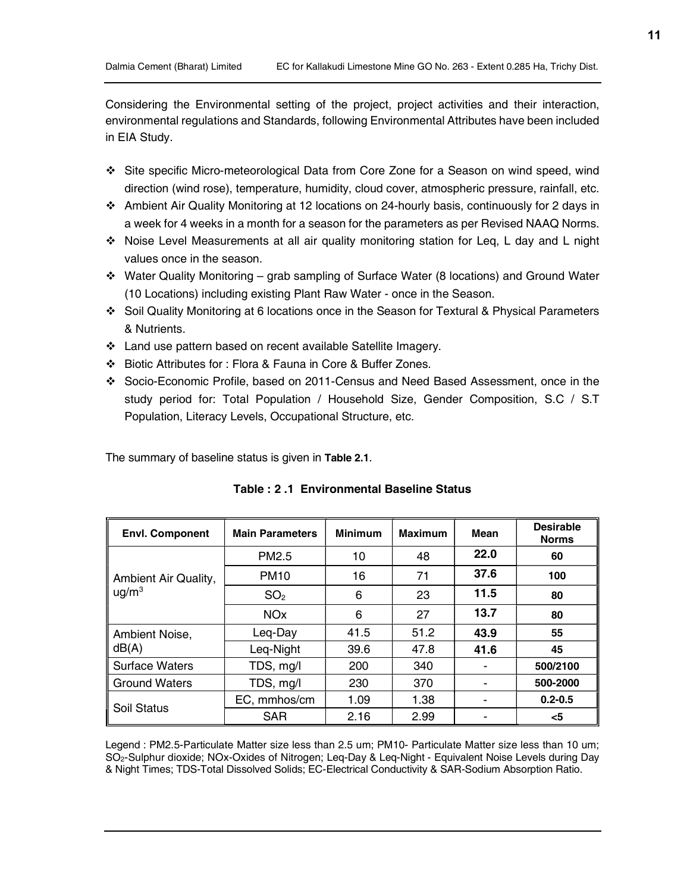Considering the Environmental setting of the project, project activities and their interaction, environmental regulations and Standards, following Environmental Attributes have been included in EIA Study.

- Site specific Micro-meteorological Data from Core Zone for a Season on wind speed, wind direction (wind rose), temperature, humidity, cloud cover, atmospheric pressure, rainfall, etc.
- Ambient Air Quality Monitoring at 12 locations on 24-hourly basis, continuously for 2 days in a week for 4 weeks in a month for a season for the parameters as per Revised NAAQ Norms.
- Noise Level Measurements at all air quality monitoring station for Leq, L day and L night values once in the season.
- $\div$  Water Quality Monitoring grab sampling of Surface Water (8 locations) and Ground Water (10 Locations) including existing Plant Raw Water - once in the Season.
- Soil Quality Monitoring at 6 locations once in the Season for Textural & Physical Parameters & Nutrients.
- Land use pattern based on recent available Satellite Imagery.
- Biotic Attributes for : Flora & Fauna in Core & Buffer Zones.
- Socio-Economic Profile, based on 2011-Census and Need Based Assessment, once in the study period for: Total Population / Household Size, Gender Composition, S.C / S.T Population, Literacy Levels, Occupational Structure, etc.

The summary of baseline status is given in Table 2.1.

| <b>Envl. Component</b> | <b>Main Parameters</b> | <b>Minimum</b> | <b>Maximum</b> | Mean | <b>Desirable</b><br><b>Norms</b> |
|------------------------|------------------------|----------------|----------------|------|----------------------------------|
|                        | PM <sub>2.5</sub>      | 10             | 48             | 22.0 | 60                               |
| Ambient Air Quality,   | <b>PM10</b>            | 16             | 71             | 37.6 | 100                              |
| $\mu$ g/m <sup>3</sup> | SO <sub>2</sub>        | 6              | 23             | 11.5 | 80                               |
|                        | <b>NO<sub>x</sub></b>  | 6              | 27             | 13.7 | 80                               |
| Ambient Noise,         | Leg-Day                | 41.5           | 51.2           | 43.9 | 55                               |
| dB(A)                  | Leg-Night              | 39.6           | 47.8           | 41.6 | 45                               |
| <b>Surface Waters</b>  | TDS, mg/l              | 200            | 340            |      | 500/2100                         |
| <b>Ground Waters</b>   | TDS, mg/l              | 230            | 370            |      | 500-2000                         |
| Soil Status            | EC, mmhos/cm           | 1.09           | 1.38           | -    | $0.2 - 0.5$                      |
|                        | <b>SAR</b>             | 2.16           | 2.99           |      | $<$ 5                            |

| Table : 2 .1 Environmental Baseline Status |  |  |
|--------------------------------------------|--|--|
|                                            |  |  |

Legend : PM2.5-Particulate Matter size less than 2.5 um; PM10- Particulate Matter size less than 10 um; SO2-Sulphur dioxide; NOx-Oxides of Nitrogen; Leq-Day & Leq-Night - Equivalent Noise Levels during Day & Night Times; TDS-Total Dissolved Solids; EC-Electrical Conductivity & SAR-Sodium Absorption Ratio.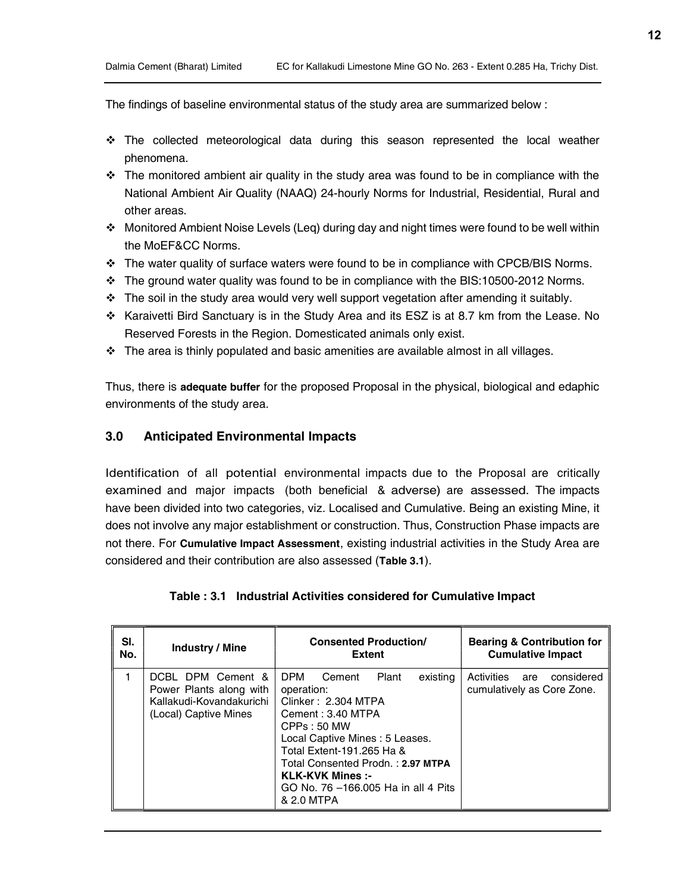The findings of baseline environmental status of the study area are summarized below :

- The collected meteorological data during this season represented the local weather phenomena.
- $\cdot \cdot$  The monitored ambient air quality in the study area was found to be in compliance with the National Ambient Air Quality (NAAQ) 24-hourly Norms for Industrial, Residential, Rural and other areas.
- $\div$  Monitored Ambient Noise Levels (Leq) during day and night times were found to be well within the MoEF&CC Norms.
- $\cdot \cdot$  The water quality of surface waters were found to be in compliance with CPCB/BIS Norms.
- $\cdot \cdot$  The ground water quality was found to be in compliance with the BIS:10500-2012 Norms.
- $\cdot \cdot$  The soil in the study area would very well support vegetation after amending it suitably.
- Karaivetti Bird Sanctuary is in the Study Area and its ESZ is at 8.7 km from the Lease. No Reserved Forests in the Region. Domesticated animals only exist.
- $\cdot \cdot$  The area is thinly populated and basic amenities are available almost in all villages.

Thus, there is adequate buffer for the proposed Proposal in the physical, biological and edaphic environments of the study area.

## 3.0 Anticipated Environmental Impacts

Identification of all potential environmental impacts due to the Proposal are critically examined and major impacts (both beneficial & adverse) are assessed. The impacts have been divided into two categories, viz. Localised and Cumulative. Being an existing Mine, it does not involve any major establishment or construction. Thus, Construction Phase impacts are not there. For Cumulative Impact Assessment, existing industrial activities in the Study Area are considered and their contribution are also assessed (Table 3.1).

| SI. | <b>Industry / Mine</b>                                                                            | <b>Consented Production/</b>                                                                                                                                                                                                                                                                           | <b>Bearing &amp; Contribution for</b>                         |
|-----|---------------------------------------------------------------------------------------------------|--------------------------------------------------------------------------------------------------------------------------------------------------------------------------------------------------------------------------------------------------------------------------------------------------------|---------------------------------------------------------------|
| No. |                                                                                                   | <b>Extent</b>                                                                                                                                                                                                                                                                                          | <b>Cumulative Impact</b>                                      |
|     | DCBL DPM Cement &<br>Power Plants along with<br>Kallakudi-Kovandakurichi<br>(Local) Captive Mines | <b>DPM</b><br>Cement<br>Plant<br>existing<br>operation:<br>Clinker: 2.304 MTPA<br>Cement: 3.40 MTPA<br>CPPs: 50 MW<br>Local Captive Mines: 5 Leases.<br>Total Extent-191.265 Ha &<br>Total Consented Prodn.: 2.97 MTPA<br><b>KLK-KVK Mines :-</b><br>GO No. 76 -166,005 Ha in all 4 Pits<br>& 2.0 MTPA | Activities<br>considered<br>are<br>cumulatively as Core Zone. |

#### Table : 3.1 Industrial Activities considered for Cumulative Impact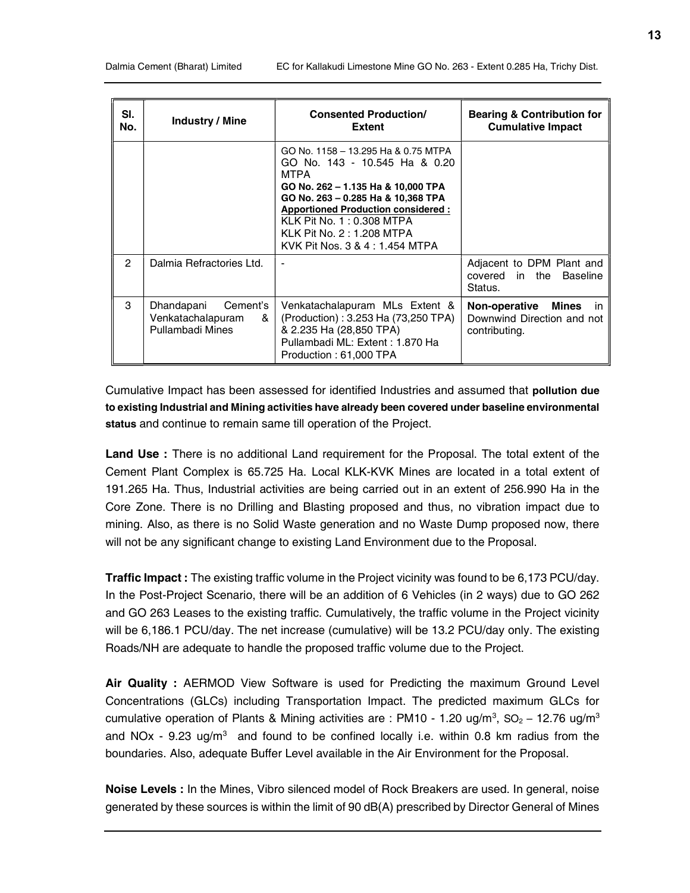| SI.           | <b>Industry / Mine</b>   | <b>Consented Production/</b>                                                                                                                                                                                                                                                                        | <b>Bearing &amp; Contribution for</b>                              |
|---------------|--------------------------|-----------------------------------------------------------------------------------------------------------------------------------------------------------------------------------------------------------------------------------------------------------------------------------------------------|--------------------------------------------------------------------|
| No.           |                          | Extent                                                                                                                                                                                                                                                                                              | <b>Cumulative Impact</b>                                           |
|               |                          | GO No. 1158 - 13.295 Ha & 0.75 MTPA<br>GO No. 143 - 10.545 Ha & 0.20<br>MTPA<br>GO No. 262 - 1.135 Ha & 10,000 TPA<br>GO No. 263 - 0.285 Ha & 10,368 TPA<br><b>Apportioned Production considered:</b><br>KLK Pit No. 1: 0.308 MTPA<br>KLK Pit No. 2 : 1.208 MTPA<br>KVK Pit Nos. 3 & 4 : 1.454 MTPA |                                                                    |
| $\mathcal{P}$ | Dalmia Refractories Ltd. |                                                                                                                                                                                                                                                                                                     | Adjacent to DPM Plant and<br>covered in the<br>Baseline<br>Status. |
| 3             | Cement's                 | Venkatachalapuram MLs Extent &                                                                                                                                                                                                                                                                      | <b>Non-operative</b>                                               |
|               | Dhandapani               | (Production): 3.253 Ha (73,250 TPA)                                                                                                                                                                                                                                                                 | Mines                                                              |
|               | Venkatachalapuram        | & 2.235 Ha (28,850 TPA)                                                                                                                                                                                                                                                                             | in.                                                                |
|               | &                        | Pullambadi ML: Extent: 1.870 Ha                                                                                                                                                                                                                                                                     | Downwind Direction and not                                         |
|               | Pullambadi Mines         | Production: 61,000 TPA                                                                                                                                                                                                                                                                              | contributing.                                                      |

Cumulative Impact has been assessed for identified Industries and assumed that pollution due to existing Industrial and Mining activities have already been covered under baseline environmental status and continue to remain same till operation of the Project.

Land Use : There is no additional Land requirement for the Proposal. The total extent of the Cement Plant Complex is 65.725 Ha. Local KLK-KVK Mines are located in a total extent of 191.265 Ha. Thus, Industrial activities are being carried out in an extent of 256.990 Ha in the Core Zone. There is no Drilling and Blasting proposed and thus, no vibration impact due to mining. Also, as there is no Solid Waste generation and no Waste Dump proposed now, there will not be any significant change to existing Land Environment due to the Proposal.

Traffic Impact : The existing traffic volume in the Project vicinity was found to be 6,173 PCU/day. In the Post-Project Scenario, there will be an addition of 6 Vehicles (in 2 ways) due to GO 262 and GO 263 Leases to the existing traffic. Cumulatively, the traffic volume in the Project vicinity will be 6,186.1 PCU/day. The net increase (cumulative) will be 13.2 PCU/day only. The existing Roads/NH are adequate to handle the proposed traffic volume due to the Project.

Air Quality : AERMOD View Software is used for Predicting the maximum Ground Level Concentrations (GLCs) including Transportation Impact. The predicted maximum GLCs for cumulative operation of Plants & Mining activities are : PM10 - 1.20 ug/m<sup>3</sup>, SO<sub>2</sub> – 12.76 ug/m<sup>3</sup> and NOx - 9.23 ug/m<sup>3</sup> and found to be confined locally i.e. within 0.8 km radius from the boundaries. Also, adequate Buffer Level available in the Air Environment for the Proposal.

Noise Levels : In the Mines, Vibro silenced model of Rock Breakers are used. In general, noise generated by these sources is within the limit of 90 dB(A) prescribed by Director General of Mines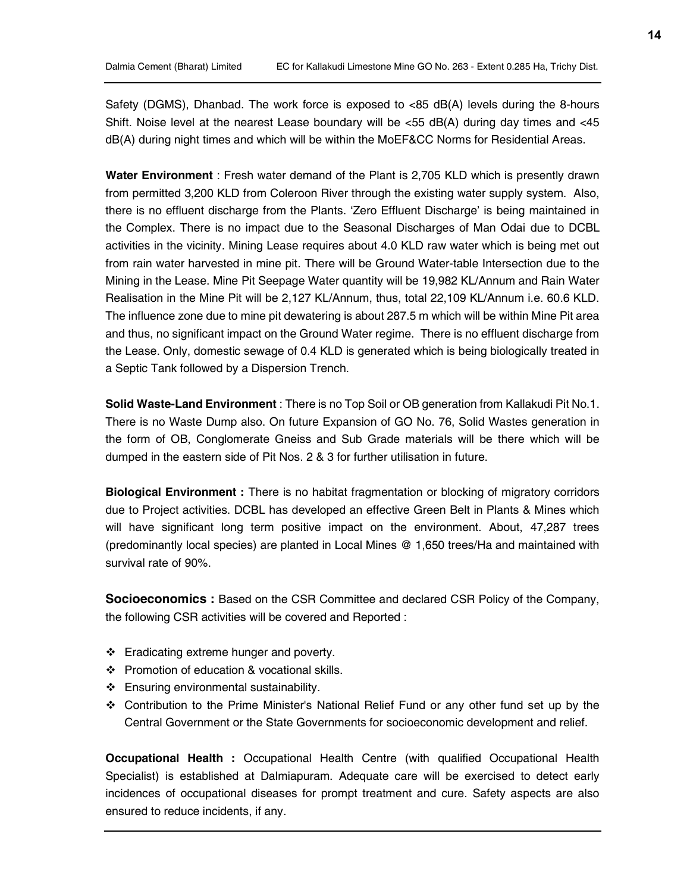Safety (DGMS), Dhanbad. The work force is exposed to <85 dB(A) levels during the 8-hours Shift. Noise level at the nearest Lease boundary will be  $<$ 55 dB(A) during day times and  $<$ 45 dB(A) during night times and which will be within the MoEF&CC Norms for Residential Areas.

Water Environment : Fresh water demand of the Plant is 2,705 KLD which is presently drawn from permitted 3,200 KLD from Coleroon River through the existing water supply system. Also, there is no effluent discharge from the Plants. 'Zero Effluent Discharge' is being maintained in the Complex. There is no impact due to the Seasonal Discharges of Man Odai due to DCBL activities in the vicinity. Mining Lease requires about 4.0 KLD raw water which is being met out from rain water harvested in mine pit. There will be Ground Water-table Intersection due to the Mining in the Lease. Mine Pit Seepage Water quantity will be 19,982 KL/Annum and Rain Water Realisation in the Mine Pit will be 2,127 KL/Annum, thus, total 22,109 KL/Annum i.e. 60.6 KLD. The influence zone due to mine pit dewatering is about 287.5 m which will be within Mine Pit area and thus, no significant impact on the Ground Water regime. There is no effluent discharge from the Lease. Only, domestic sewage of 0.4 KLD is generated which is being biologically treated in a Septic Tank followed by a Dispersion Trench.

Solid Waste-Land Environment : There is no Top Soil or OB generation from Kallakudi Pit No.1. There is no Waste Dump also. On future Expansion of GO No. 76, Solid Wastes generation in the form of OB, Conglomerate Gneiss and Sub Grade materials will be there which will be dumped in the eastern side of Pit Nos. 2 & 3 for further utilisation in future.

Biological Environment : There is no habitat fragmentation or blocking of migratory corridors due to Project activities. DCBL has developed an effective Green Belt in Plants & Mines which will have significant long term positive impact on the environment. About, 47,287 trees (predominantly local species) are planted in Local Mines @ 1,650 trees/Ha and maintained with survival rate of 90%.

**Socioeconomics** : Based on the CSR Committee and declared CSR Policy of the Company, the following CSR activities will be covered and Reported :

- Eradicating extreme hunger and poverty.
- ❖ Promotion of education & vocational skills.
- Ensuring environmental sustainability.
- Contribution to the Prime Minister's National Relief Fund or any other fund set up by the Central Government or the State Governments for socioeconomic development and relief.

Occupational Health : Occupational Health Centre (with qualified Occupational Health Specialist) is established at Dalmiapuram. Adequate care will be exercised to detect early incidences of occupational diseases for prompt treatment and cure. Safety aspects are also ensured to reduce incidents, if any.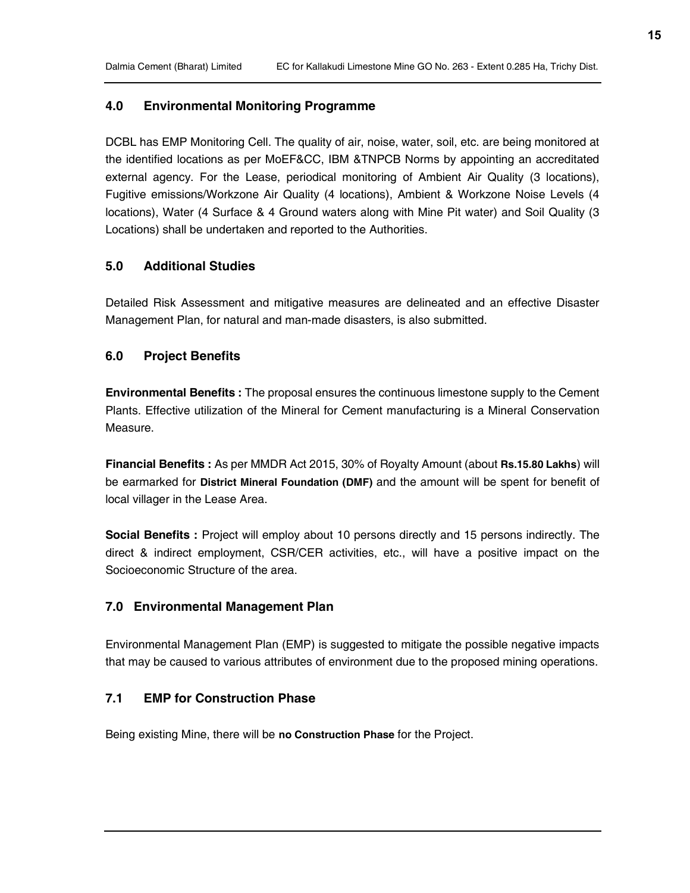## 4.0 Environmental Monitoring Programme

DCBL has EMP Monitoring Cell. The quality of air, noise, water, soil, etc. are being monitored at the identified locations as per MoEF&CC, IBM &TNPCB Norms by appointing an accreditated external agency. For the Lease, periodical monitoring of Ambient Air Quality (3 locations), Fugitive emissions/Workzone Air Quality (4 locations), Ambient & Workzone Noise Levels (4 locations), Water (4 Surface & 4 Ground waters along with Mine Pit water) and Soil Quality (3 Locations) shall be undertaken and reported to the Authorities.

#### 5.0 Additional Studies

Detailed Risk Assessment and mitigative measures are delineated and an effective Disaster Management Plan, for natural and man-made disasters, is also submitted.

#### 6.0 Project Benefits

**Environmental Benefits :** The proposal ensures the continuous limestone supply to the Cement Plants. Effective utilization of the Mineral for Cement manufacturing is a Mineral Conservation Measure.

Financial Benefits : As per MMDR Act 2015, 30% of Royalty Amount (about Rs.15.80 Lakhs) will be earmarked for District Mineral Foundation (DMF) and the amount will be spent for benefit of local villager in the Lease Area.

Social Benefits : Project will employ about 10 persons directly and 15 persons indirectly. The direct & indirect employment, CSR/CER activities, etc., will have a positive impact on the Socioeconomic Structure of the area.

#### 7.0 Environmental Management Plan

Environmental Management Plan (EMP) is suggested to mitigate the possible negative impacts that may be caused to various attributes of environment due to the proposed mining operations.

### 7.1 EMP for Construction Phase

Being existing Mine, there will be no Construction Phase for the Project.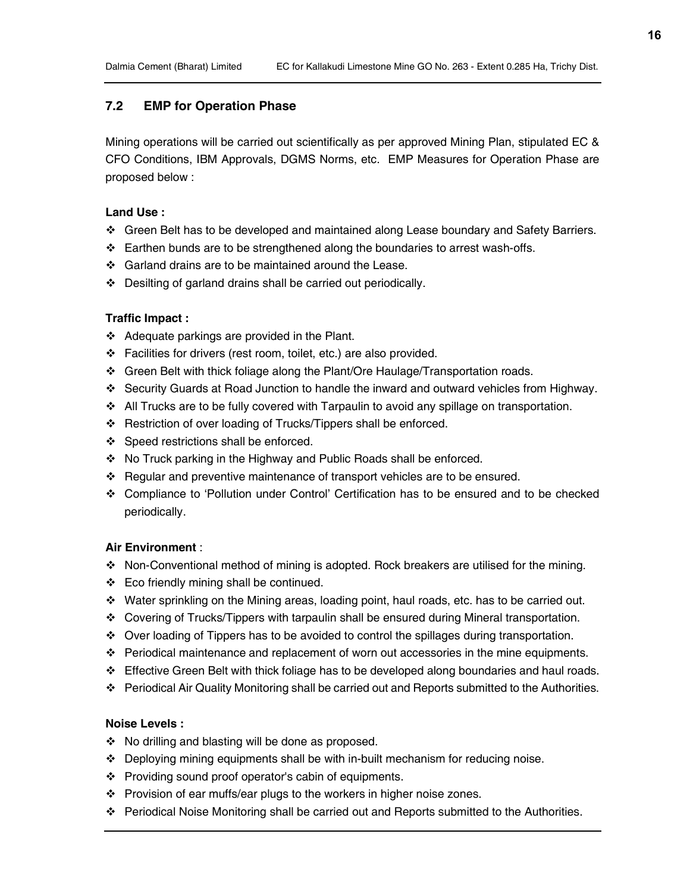## 7.2 EMP for Operation Phase

Mining operations will be carried out scientifically as per approved Mining Plan, stipulated EC & CFO Conditions, IBM Approvals, DGMS Norms, etc. EMP Measures for Operation Phase are proposed below :

#### Land Use :

- Green Belt has to be developed and maintained along Lease boundary and Safety Barriers.
- $\div$  Earthen bunds are to be strengthened along the boundaries to arrest wash-offs.
- Garland drains are to be maintained around the Lease.
- Desilting of garland drains shall be carried out periodically.

#### Traffic Impact :

- $\triangleleft$  Adequate parkings are provided in the Plant.
- Facilities for drivers (rest room, toilet, etc.) are also provided.
- Green Belt with thick foliage along the Plant/Ore Haulage/Transportation roads.
- Security Guards at Road Junction to handle the inward and outward vehicles from Highway.
- All Trucks are to be fully covered with Tarpaulin to avoid any spillage on transportation.
- Restriction of over loading of Trucks/Tippers shall be enforced.
- ❖ Speed restrictions shall be enforced.
- No Truck parking in the Highway and Public Roads shall be enforced.
- \* Regular and preventive maintenance of transport vehicles are to be ensured.
- Compliance to 'Pollution under Control' Certification has to be ensured and to be checked periodically.

#### Air Environment :

- Non-Conventional method of mining is adopted. Rock breakers are utilised for the mining.
- Eco friendly mining shall be continued.
- Water sprinkling on the Mining areas, loading point, haul roads, etc. has to be carried out.
- Covering of Trucks/Tippers with tarpaulin shall be ensured during Mineral transportation.
- Over loading of Tippers has to be avoided to control the spillages during transportation.
- $\div$  Periodical maintenance and replacement of worn out accessories in the mine equipments.
- $\div$  Effective Green Belt with thick foliage has to be developed along boundaries and haul roads.
- Periodical Air Quality Monitoring shall be carried out and Reports submitted to the Authorities.

#### Noise Levels :

- $\div$  No drilling and blasting will be done as proposed.
- $\div$  Deploying mining equipments shall be with in-built mechanism for reducing noise.
- Providing sound proof operator's cabin of equipments.
- Provision of ear muffs/ear plugs to the workers in higher noise zones.
- Periodical Noise Monitoring shall be carried out and Reports submitted to the Authorities.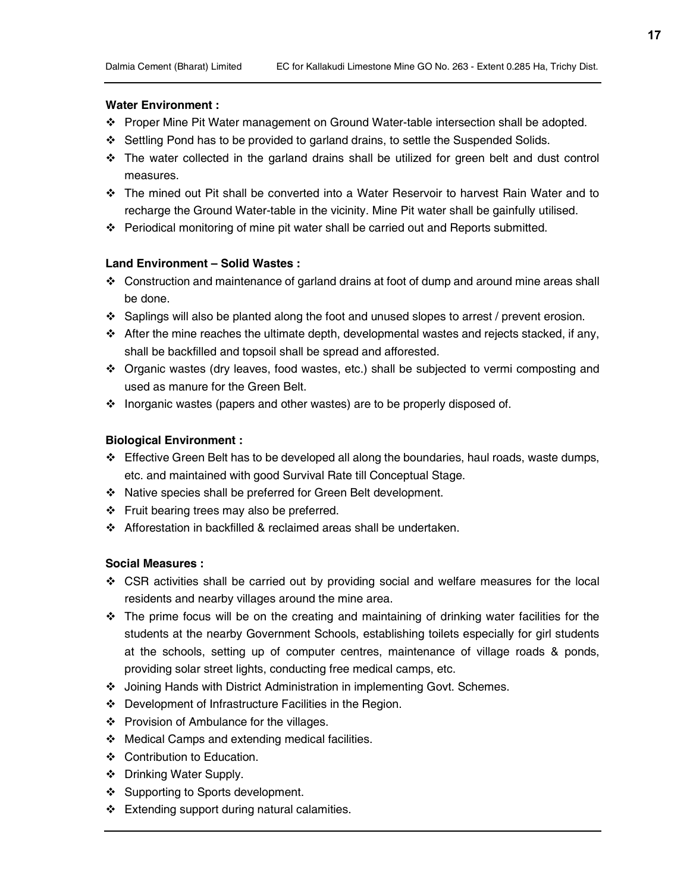### Water Environment :

- Proper Mine Pit Water management on Ground Water-table intersection shall be adopted.
- Settling Pond has to be provided to garland drains, to settle the Suspended Solids.
- $\div$  The water collected in the garland drains shall be utilized for green belt and dust control measures.
- The mined out Pit shall be converted into a Water Reservoir to harvest Rain Water and to recharge the Ground Water-table in the vicinity. Mine Pit water shall be gainfully utilised.
- Periodical monitoring of mine pit water shall be carried out and Reports submitted.

### Land Environment – Solid Wastes :

- Construction and maintenance of garland drains at foot of dump and around mine areas shall be done.
- $\div$  Saplings will also be planted along the foot and unused slopes to arrest / prevent erosion.
- After the mine reaches the ultimate depth, developmental wastes and rejects stacked, if any, shall be backfilled and topsoil shall be spread and afforested.
- Organic wastes (dry leaves, food wastes, etc.) shall be subjected to vermi composting and used as manure for the Green Belt.
- $\div$  Inorganic wastes (papers and other wastes) are to be properly disposed of.

## Biological Environment :

- $\div$  Effective Green Belt has to be developed all along the boundaries, haul roads, waste dumps, etc. and maintained with good Survival Rate till Conceptual Stage.
- Native species shall be preferred for Green Belt development.
- Fruit bearing trees may also be preferred.
- Afforestation in backfilled & reclaimed areas shall be undertaken.

### Social Measures :

- CSR activities shall be carried out by providing social and welfare measures for the local residents and nearby villages around the mine area.
- $\div$  The prime focus will be on the creating and maintaining of drinking water facilities for the students at the nearby Government Schools, establishing toilets especially for girl students at the schools, setting up of computer centres, maintenance of village roads & ponds, providing solar street lights, conducting free medical camps, etc.
- Joining Hands with District Administration in implementing Govt. Schemes.
- Development of Infrastructure Facilities in the Region.
- ❖ Provision of Ambulance for the villages.
- $\div$  Medical Camps and extending medical facilities.
- Contribution to Education.
- Drinking Water Supply.
- ❖ Supporting to Sports development.
- $\div$  Extending support during natural calamities.